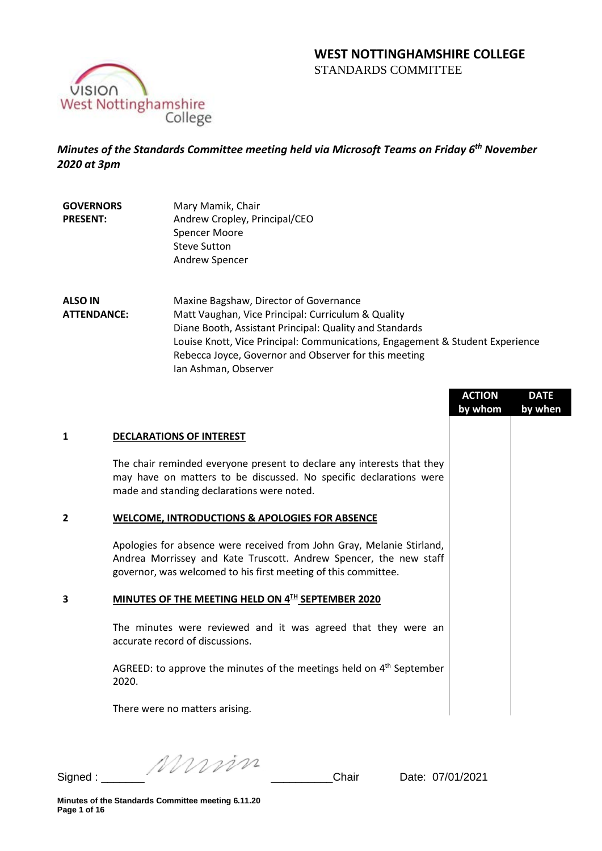# **WEST NOTTINGHAMSHIRE COLLEGE**  STANDARDS COMMITTEE



*Minutes of the Standards Committee meeting held via Microsoft Teams on Friday 6th November 2020 at 3pm*

**GOVERNORS PRESENT:** Mary Mamik, Chair Andrew Cropley, Principal/CEO Spencer Moore Steve Sutton Andrew Spencer

**ALSO IN ATTENDANCE:** Maxine Bagshaw, Director of Governance Matt Vaughan, Vice Principal: Curriculum & Quality Diane Booth, Assistant Principal: Quality and Standards Louise Knott, Vice Principal: Communications, Engagement & Student Experience Rebecca Joyce, Governor and Observer for this meeting Ian Ashman, Observer

|   |                                                                                                                                                                                                              | <b>ACTION</b> | <b>DATE</b> |
|---|--------------------------------------------------------------------------------------------------------------------------------------------------------------------------------------------------------------|---------------|-------------|
|   |                                                                                                                                                                                                              | by whom       | by when     |
| 1 | <b>DECLARATIONS OF INTEREST</b>                                                                                                                                                                              |               |             |
|   | The chair reminded everyone present to declare any interests that they<br>may have on matters to be discussed. No specific declarations were<br>made and standing declarations were noted.                   |               |             |
| 2 | <b>WELCOME, INTRODUCTIONS &amp; APOLOGIES FOR ABSENCE</b>                                                                                                                                                    |               |             |
|   | Apologies for absence were received from John Gray, Melanie Stirland,<br>Andrea Morrissey and Kate Truscott. Andrew Spencer, the new staff<br>governor, was welcomed to his first meeting of this committee. |               |             |
| 3 | MINUTES OF THE MEETING HELD ON 4TH SEPTEMBER 2020                                                                                                                                                            |               |             |
|   | The minutes were reviewed and it was agreed that they were an<br>accurate record of discussions.                                                                                                             |               |             |
|   | AGREED: to approve the minutes of the meetings held on $4th$ September<br>2020.                                                                                                                              |               |             |
|   | There were no matters arising.                                                                                                                                                                               |               |             |
|   |                                                                                                                                                                                                              |               |             |

Signed :  $\frac{1}{2}$  Signed :  $\frac{1}{2}$  Chair Date: 07/01/2021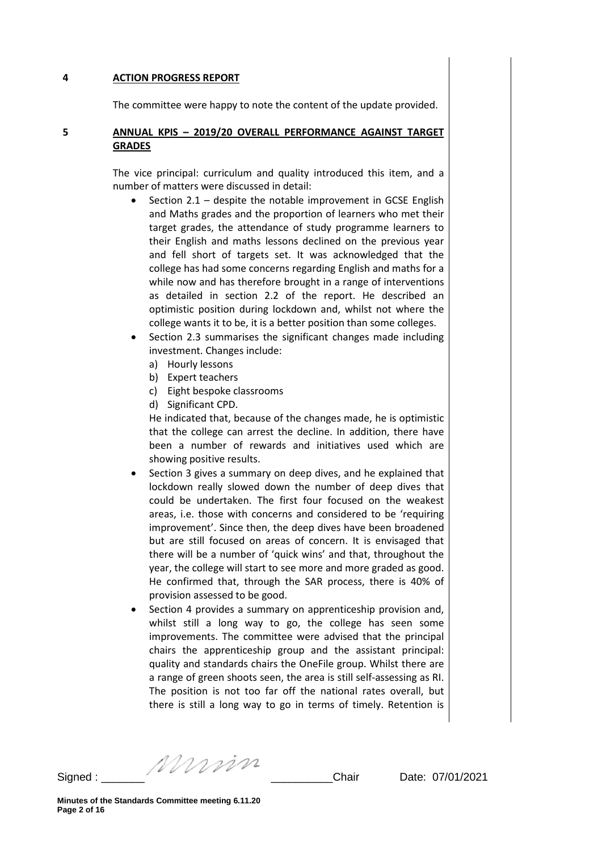### **4 ACTION PROGRESS REPORT**

The committee were happy to note the content of the update provided.

### **5 ANNUAL KPIS – 2019/20 OVERALL PERFORMANCE AGAINST TARGET GRADES**

The vice principal: curriculum and quality introduced this item, and a number of matters were discussed in detail:

- Section 2.1 despite the notable improvement in GCSE English and Maths grades and the proportion of learners who met their target grades, the attendance of study programme learners to their English and maths lessons declined on the previous year and fell short of targets set. It was acknowledged that the college has had some concerns regarding English and maths for a while now and has therefore brought in a range of interventions as detailed in section 2.2 of the report. He described an optimistic position during lockdown and, whilst not where the college wants it to be, it is a better position than some colleges.
- Section 2.3 summarises the significant changes made including investment. Changes include:
	- a) Hourly lessons
	- b) Expert teachers
	- c) Eight bespoke classrooms
	- d) Significant CPD.

He indicated that, because of the changes made, he is optimistic that the college can arrest the decline. In addition, there have been a number of rewards and initiatives used which are showing positive results.

- Section 3 gives a summary on deep dives, and he explained that lockdown really slowed down the number of deep dives that could be undertaken. The first four focused on the weakest areas, i.e. those with concerns and considered to be 'requiring improvement'. Since then, the deep dives have been broadened but are still focused on areas of concern. It is envisaged that there will be a number of 'quick wins' and that, throughout the year, the college will start to see more and more graded as good. He confirmed that, through the SAR process, there is 40% of provision assessed to be good.
- Section 4 provides a summary on apprenticeship provision and, whilst still a long way to go, the college has seen some improvements. The committee were advised that the principal chairs the apprenticeship group and the assistant principal: quality and standards chairs the OneFile group. Whilst there are a range of green shoots seen, the area is still self-assessing as RI. The position is not too far off the national rates overall, but there is still a long way to go in terms of timely. Retention is

Signed :  $\frac{1}{2}$  Signed :  $\frac{1}{2}$  Chair Date: 07/01/2021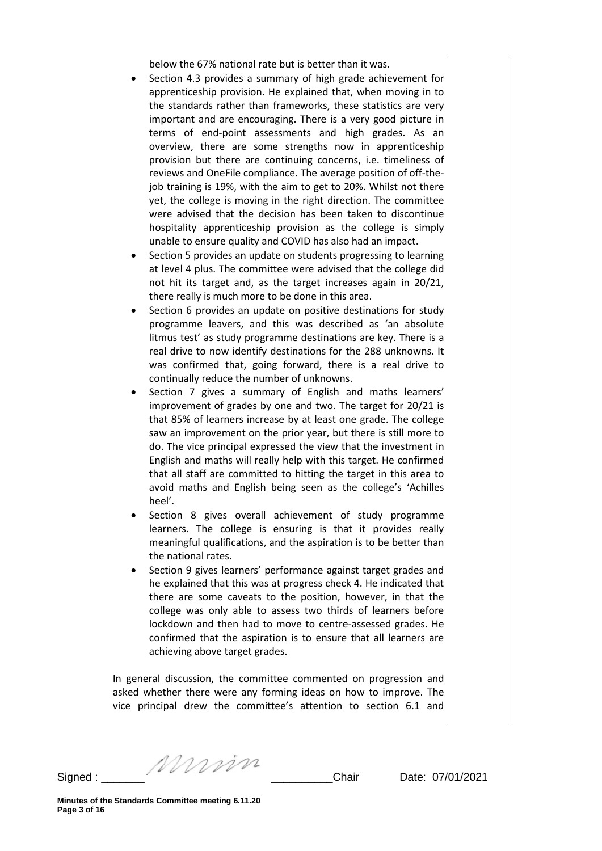below the 67% national rate but is better than it was.

- Section 4.3 provides a summary of high grade achievement for apprenticeship provision. He explained that, when moving in to the standards rather than frameworks, these statistics are very important and are encouraging. There is a very good picture in terms of end-point assessments and high grades. As an overview, there are some strengths now in apprenticeship provision but there are continuing concerns, i.e. timeliness of reviews and OneFile compliance. The average position of off-thejob training is 19%, with the aim to get to 20%. Whilst not there yet, the college is moving in the right direction. The committee were advised that the decision has been taken to discontinue hospitality apprenticeship provision as the college is simply unable to ensure quality and COVID has also had an impact.
- Section 5 provides an update on students progressing to learning at level 4 plus. The committee were advised that the college did not hit its target and, as the target increases again in 20/21, there really is much more to be done in this area.
- Section 6 provides an update on positive destinations for study programme leavers, and this was described as 'an absolute litmus test' as study programme destinations are key. There is a real drive to now identify destinations for the 288 unknowns. It was confirmed that, going forward, there is a real drive to continually reduce the number of unknowns.
- Section 7 gives a summary of English and maths learners' improvement of grades by one and two. The target for 20/21 is that 85% of learners increase by at least one grade. The college saw an improvement on the prior year, but there is still more to do. The vice principal expressed the view that the investment in English and maths will really help with this target. He confirmed that all staff are committed to hitting the target in this area to avoid maths and English being seen as the college's 'Achilles heel'.
- Section 8 gives overall achievement of study programme learners. The college is ensuring is that it provides really meaningful qualifications, and the aspiration is to be better than the national rates.
- Section 9 gives learners' performance against target grades and he explained that this was at progress check 4. He indicated that there are some caveats to the position, however, in that the college was only able to assess two thirds of learners before lockdown and then had to move to centre-assessed grades. He confirmed that the aspiration is to ensure that all learners are achieving above target grades.

In general discussion, the committee commented on progression and asked whether there were any forming ideas on how to improve. The vice principal drew the committee's attention to section 6.1 and

Signed : \_\_\_\_\_\_\_ \_\_\_\_\_\_\_\_\_\_Chair Date: 07/01/2021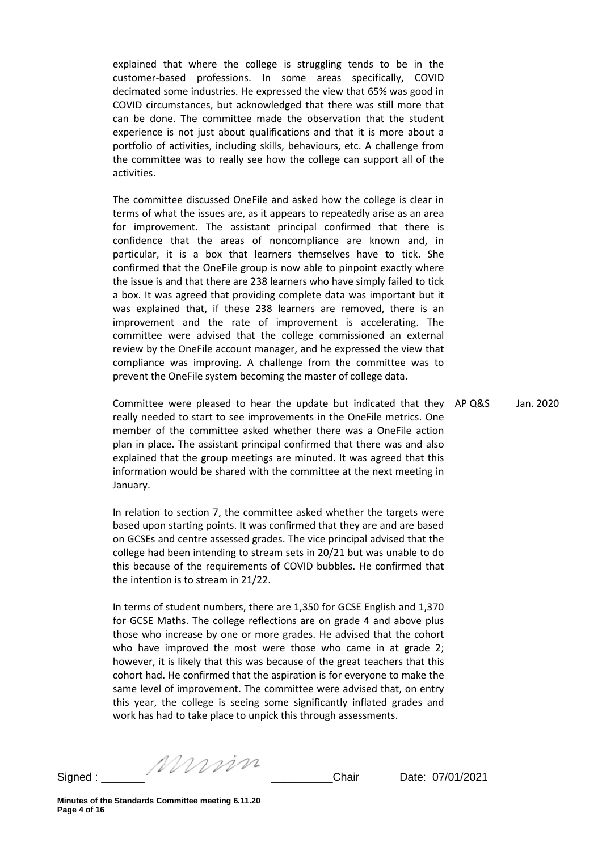explained that where the college is struggling tends to be in the customer-based professions. In some areas specifically, COVID decimated some industries. He expressed the view that 65% was good in COVID circumstances, but acknowledged that there was still more that can be done. The committee made the observation that the student experience is not just about qualifications and that it is more about a portfolio of activities, including skills, behaviours, etc. A challenge from the committee was to really see how the college can support all of the activities.

The committee discussed OneFile and asked how the college is clear in terms of what the issues are, as it appears to repeatedly arise as an area for improvement. The assistant principal confirmed that there is confidence that the areas of noncompliance are known and, in particular, it is a box that learners themselves have to tick. She confirmed that the OneFile group is now able to pinpoint exactly where the issue is and that there are 238 learners who have simply failed to tick a box. It was agreed that providing complete data was important but it was explained that, if these 238 learners are removed, there is an improvement and the rate of improvement is accelerating. The committee were advised that the college commissioned an external review by the OneFile account manager, and he expressed the view that compliance was improving. A challenge from the committee was to prevent the OneFile system becoming the master of college data.

Committee were pleased to hear the update but indicated that they really needed to start to see improvements in the OneFile metrics. One member of the committee asked whether there was a OneFile action plan in place. The assistant principal confirmed that there was and also explained that the group meetings are minuted. It was agreed that this information would be shared with the committee at the next meeting in January.

In relation to section 7, the committee asked whether the targets were based upon starting points. It was confirmed that they are and are based on GCSEs and centre assessed grades. The vice principal advised that the college had been intending to stream sets in 20/21 but was unable to do this because of the requirements of COVID bubbles. He confirmed that the intention is to stream in 21/22.

In terms of student numbers, there are 1,350 for GCSE English and 1,370 for GCSE Maths. The college reflections are on grade 4 and above plus those who increase by one or more grades. He advised that the cohort who have improved the most were those who came in at grade 2; however, it is likely that this was because of the great teachers that this cohort had. He confirmed that the aspiration is for everyone to make the same level of improvement. The committee were advised that, on entry this year, the college is seeing some significantly inflated grades and work has had to take place to unpick this through assessments.

AP Q&S Jan. 2020

Signed :  $\frac{1}{2}$  Signed :  $\frac{1}{2}$  Chair Date: 07/01/2021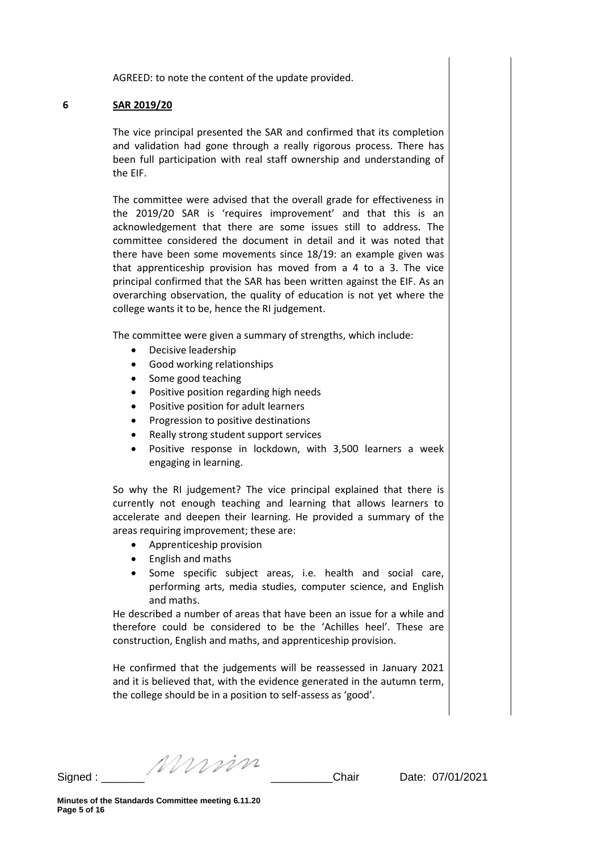AGREED: to note the content of the update provided.

### **6 SAR 2019/20**

The vice principal presented the SAR and confirmed that its completion and validation had gone through a really rigorous process. There has been full participation with real staff ownership and understanding of the EIF.

The committee were advised that the overall grade for effectiveness in the 2019/20 SAR is 'requires improvement' and that this is an acknowledgement that there are some issues still to address. The committee considered the document in detail and it was noted that there have been some movements since 18/19: an example given was that apprenticeship provision has moved from a 4 to a 3. The vice principal confirmed that the SAR has been written against the EIF. As an overarching observation, the quality of education is not yet where the college wants it to be, hence the RI judgement.

The committee were given a summary of strengths, which include:

- Decisive leadership
- Good working relationships
- Some good teaching
- Positive position regarding high needs
- Positive position for adult learners
- Progression to positive destinations
- Really strong student support services
- Positive response in lockdown, with 3,500 learners a week engaging in learning.

So why the RI judgement? The vice principal explained that there is currently not enough teaching and learning that allows learners to accelerate and deepen their learning. He provided a summary of the areas requiring improvement; these are:

- Apprenticeship provision
- English and maths
- Some specific subject areas, i.e. health and social care, performing arts, media studies, computer science, and English and maths.

He described a number of areas that have been an issue for a while and therefore could be considered to be the 'Achilles heel'. These are construction, English and maths, and apprenticeship provision.

He confirmed that the judgements will be reassessed in January 2021 and it is believed that, with the evidence generated in the autumn term, the college should be in a position to self-assess as 'good'.

Signed : \_\_\_\_\_\_\_ \_\_\_\_\_\_\_\_\_\_Chair Date: 07/01/2021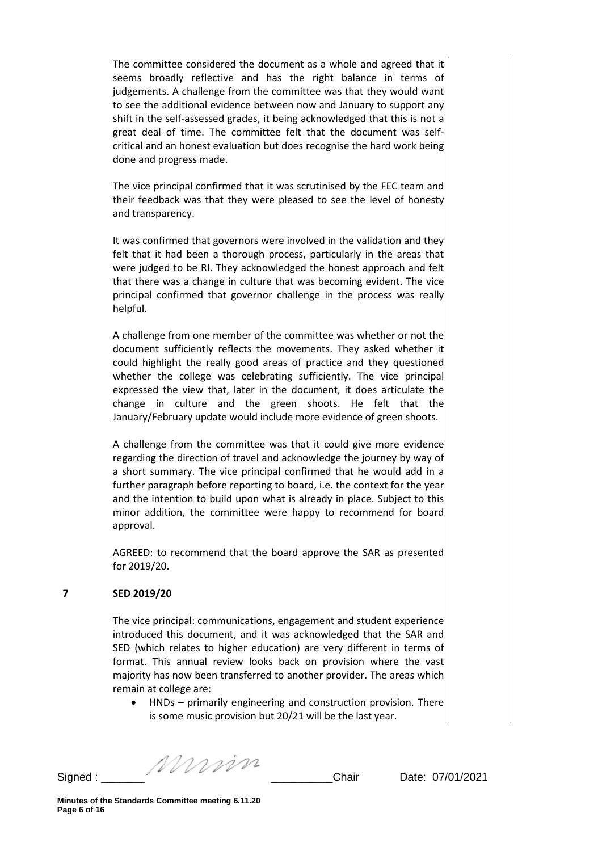The committee considered the document as a whole and agreed that it seems broadly reflective and has the right balance in terms of judgements. A challenge from the committee was that they would want to see the additional evidence between now and January to support any shift in the self-assessed grades, it being acknowledged that this is not a great deal of time. The committee felt that the document was selfcritical and an honest evaluation but does recognise the hard work being done and progress made.

The vice principal confirmed that it was scrutinised by the FEC team and their feedback was that they were pleased to see the level of honesty and transparency.

It was confirmed that governors were involved in the validation and they felt that it had been a thorough process, particularly in the areas that were judged to be RI. They acknowledged the honest approach and felt that there was a change in culture that was becoming evident. The vice principal confirmed that governor challenge in the process was really helpful.

A challenge from one member of the committee was whether or not the document sufficiently reflects the movements. They asked whether it could highlight the really good areas of practice and they questioned whether the college was celebrating sufficiently. The vice principal expressed the view that, later in the document, it does articulate the change in culture and the green shoots. He felt that the January/February update would include more evidence of green shoots.

A challenge from the committee was that it could give more evidence regarding the direction of travel and acknowledge the journey by way of a short summary. The vice principal confirmed that he would add in a further paragraph before reporting to board, i.e. the context for the year and the intention to build upon what is already in place. Subject to this minor addition, the committee were happy to recommend for board approval.

AGREED: to recommend that the board approve the SAR as presented for 2019/20.

### **7 SED 2019/20**

The vice principal: communications, engagement and student experience introduced this document, and it was acknowledged that the SAR and SED (which relates to higher education) are very different in terms of format. This annual review looks back on provision where the vast majority has now been transferred to another provider. The areas which remain at college are:

• HNDs – primarily engineering and construction provision. There is some music provision but 20/21 will be the last year.

Signed :  $\frac{1}{2}$  Signed :  $\frac{1}{2}$   $\frac{1}{2}$   $\frac{1}{2}$   $\frac{1}{2}$   $\frac{1}{2}$   $\frac{1}{2}$   $\frac{1}{2}$   $\frac{1}{2}$   $\frac{1}{2}$   $\frac{1}{2}$   $\frac{1}{2}$   $\frac{1}{2}$   $\frac{1}{2}$   $\frac{1}{2}$   $\frac{1}{2}$   $\frac{1}{2}$   $\frac{1}{2}$   $\frac{1}{2}$   $\frac{1}{2}$   $\frac$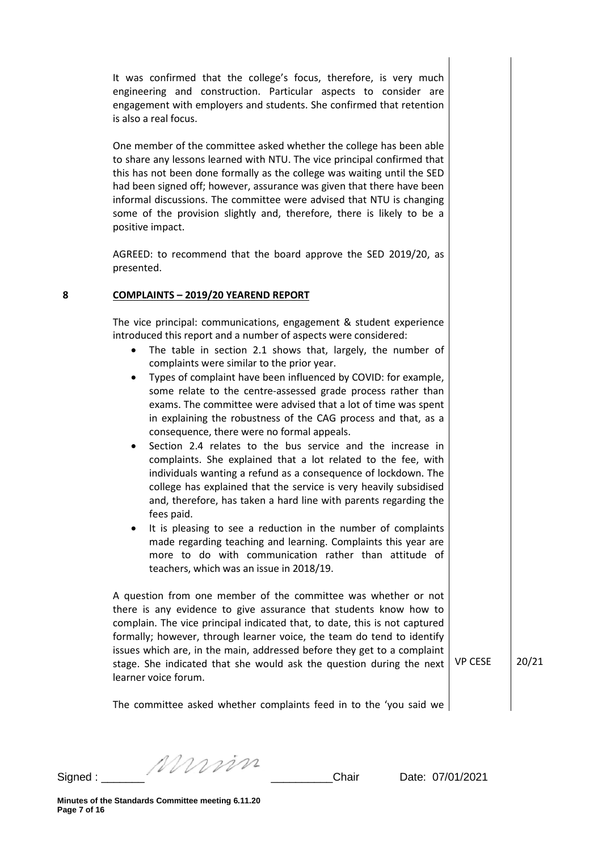It was confirmed that the college's focus, therefore, is very much engineering and construction. Particular aspects to consider are engagement with employers and students. She confirmed that retention is also a real focus.

One member of the committee asked whether the college has been able to share any lessons learned with NTU. The vice principal confirmed that this has not been done formally as the college was waiting until the SED had been signed off; however, assurance was given that there have been informal discussions. The committee were advised that NTU is changing some of the provision slightly and, therefore, there is likely to be a positive impact.

AGREED: to recommend that the board approve the SED 2019/20, as presented.

### **8 COMPLAINTS – 2019/20 YEAREND REPORT**

The vice principal: communications, engagement & student experience introduced this report and a number of aspects were considered:

- The table in section 2.1 shows that, largely, the number of complaints were similar to the prior year.
- Types of complaint have been influenced by COVID: for example, some relate to the centre-assessed grade process rather than exams. The committee were advised that a lot of time was spent in explaining the robustness of the CAG process and that, as a consequence, there were no formal appeals.
- Section 2.4 relates to the bus service and the increase in complaints. She explained that a lot related to the fee, with individuals wanting a refund as a consequence of lockdown. The college has explained that the service is very heavily subsidised and, therefore, has taken a hard line with parents regarding the fees paid.
- It is pleasing to see a reduction in the number of complaints made regarding teaching and learning. Complaints this year are more to do with communication rather than attitude of teachers, which was an issue in 2018/19.

A question from one member of the committee was whether or not there is any evidence to give assurance that students know how to complain. The vice principal indicated that, to date, this is not captured formally; however, through learner voice, the team do tend to identify issues which are, in the main, addressed before they get to a complaint stage. She indicated that she would ask the question during the next  $\vert$  VP CESE  $\vert$  20/21 learner voice forum.

The committee asked whether complaints feed in to the 'you said we

Signed :  $\frac{1}{2}$  Signed :  $\frac{1}{2}$  Chair Date: 07/01/2021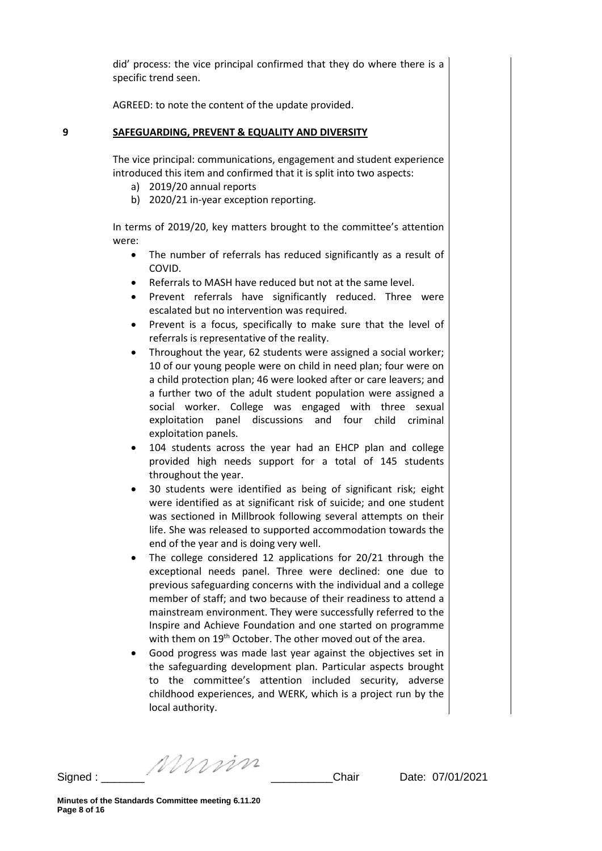did' process: the vice principal confirmed that they do where there is a specific trend seen.

AGREED: to note the content of the update provided.

### **9 SAFEGUARDING, PREVENT & EQUALITY AND DIVERSITY**

The vice principal: communications, engagement and student experience introduced this item and confirmed that it is split into two aspects:

- a) 2019/20 annual reports
- b) 2020/21 in-year exception reporting.

In terms of 2019/20, key matters brought to the committee's attention were:

- The number of referrals has reduced significantly as a result of COVID.
- Referrals to MASH have reduced but not at the same level.
- Prevent referrals have significantly reduced. Three were escalated but no intervention was required.
- Prevent is a focus, specifically to make sure that the level of referrals is representative of the reality.
- Throughout the year, 62 students were assigned a social worker; 10 of our young people were on child in need plan; four were on a child protection plan; 46 were looked after or care leavers; and a further two of the adult student population were assigned a social worker. College was engaged with three sexual exploitation panel discussions and four child criminal exploitation panels.
- 104 students across the year had an EHCP plan and college provided high needs support for a total of 145 students throughout the year.
- 30 students were identified as being of significant risk; eight were identified as at significant risk of suicide; and one student was sectioned in Millbrook following several attempts on their life. She was released to supported accommodation towards the end of the year and is doing very well.
- The college considered 12 applications for 20/21 through the exceptional needs panel. Three were declined: one due to previous safeguarding concerns with the individual and a college member of staff; and two because of their readiness to attend a mainstream environment. They were successfully referred to the Inspire and Achieve Foundation and one started on programme with them on 19<sup>th</sup> October. The other moved out of the area.
- Good progress was made last year against the objectives set in the safeguarding development plan. Particular aspects brought to the committee's attention included security, adverse childhood experiences, and WERK, which is a project run by the local authority.

Signed : \_\_\_\_\_\_\_ \_\_\_\_\_\_\_\_\_\_Chair Date: 07/01/2021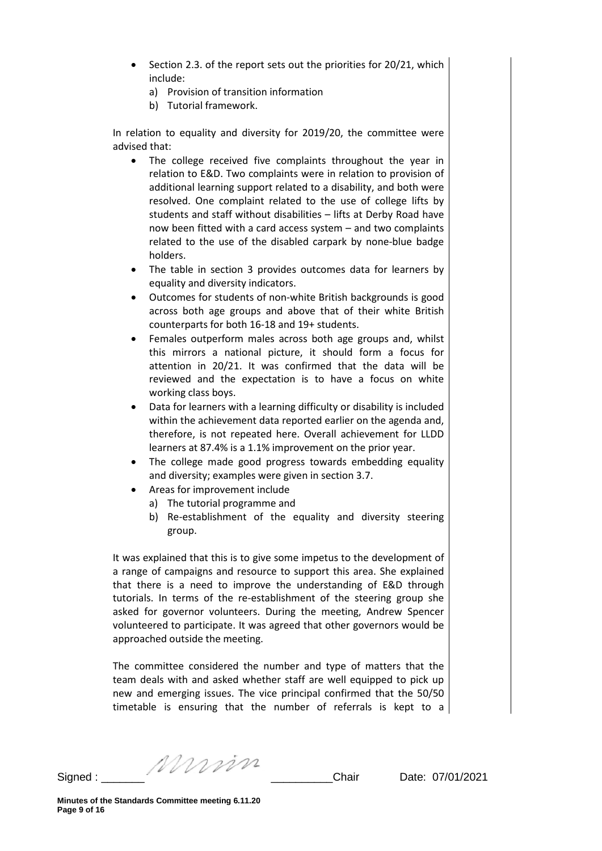- Section 2.3. of the report sets out the priorities for 20/21, which include:
	- a) Provision of transition information
	- b) Tutorial framework.

In relation to equality and diversity for 2019/20, the committee were advised that:

- The college received five complaints throughout the year in relation to E&D. Two complaints were in relation to provision of additional learning support related to a disability, and both were resolved. One complaint related to the use of college lifts by students and staff without disabilities – lifts at Derby Road have now been fitted with a card access system – and two complaints related to the use of the disabled carpark by none-blue badge holders.
- The table in section 3 provides outcomes data for learners by equality and diversity indicators.
- Outcomes for students of non-white British backgrounds is good across both age groups and above that of their white British counterparts for both 16-18 and 19+ students.
- Females outperform males across both age groups and, whilst this mirrors a national picture, it should form a focus for attention in 20/21. It was confirmed that the data will be reviewed and the expectation is to have a focus on white working class boys.
- Data for learners with a learning difficulty or disability is included within the achievement data reported earlier on the agenda and, therefore, is not repeated here. Overall achievement for LLDD learners at 87.4% is a 1.1% improvement on the prior year.
- The college made good progress towards embedding equality and diversity; examples were given in section 3.7.
- Areas for improvement include
	- a) The tutorial programme and
	- b) Re-establishment of the equality and diversity steering group.

It was explained that this is to give some impetus to the development of a range of campaigns and resource to support this area. She explained that there is a need to improve the understanding of E&D through tutorials. In terms of the re-establishment of the steering group she asked for governor volunteers. During the meeting, Andrew Spencer volunteered to participate. It was agreed that other governors would be approached outside the meeting.

The committee considered the number and type of matters that the team deals with and asked whether staff are well equipped to pick up new and emerging issues. The vice principal confirmed that the 50/50 timetable is ensuring that the number of referrals is kept to a

Signed : \_\_\_\_\_\_\_ \_\_\_\_\_\_\_\_\_\_Chair Date: 07/01/2021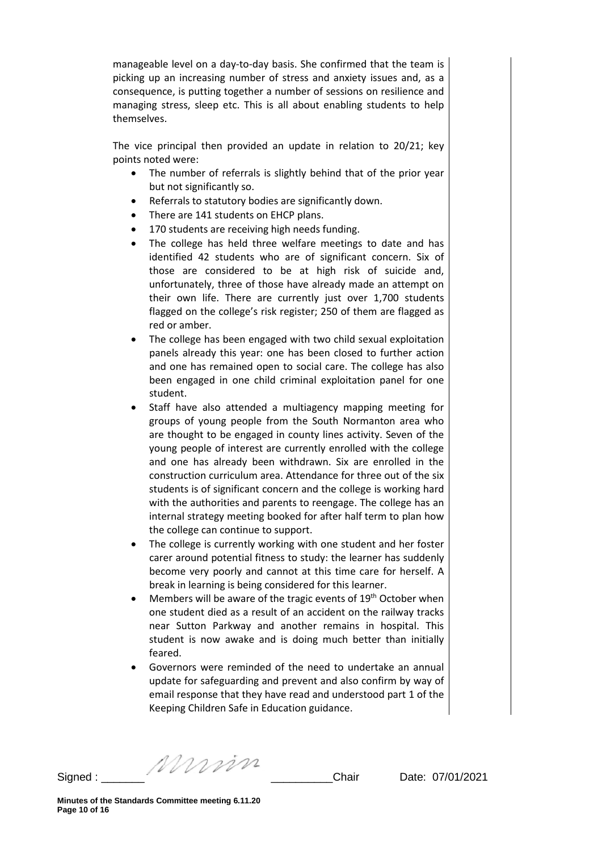manageable level on a day-to-day basis. She confirmed that the team is picking up an increasing number of stress and anxiety issues and, as a consequence, is putting together a number of sessions on resilience and managing stress, sleep etc. This is all about enabling students to help themselves.

The vice principal then provided an update in relation to 20/21; key points noted were:

- The number of referrals is slightly behind that of the prior year but not significantly so.
- Referrals to statutory bodies are significantly down.
- There are 141 students on EHCP plans.
- 170 students are receiving high needs funding.
- The college has held three welfare meetings to date and has identified 42 students who are of significant concern. Six of those are considered to be at high risk of suicide and, unfortunately, three of those have already made an attempt on their own life. There are currently just over 1,700 students flagged on the college's risk register; 250 of them are flagged as red or amber.
- The college has been engaged with two child sexual exploitation panels already this year: one has been closed to further action and one has remained open to social care. The college has also been engaged in one child criminal exploitation panel for one student.
- Staff have also attended a multiagency mapping meeting for groups of young people from the South Normanton area who are thought to be engaged in county lines activity. Seven of the young people of interest are currently enrolled with the college and one has already been withdrawn. Six are enrolled in the construction curriculum area. Attendance for three out of the six students is of significant concern and the college is working hard with the authorities and parents to reengage. The college has an internal strategy meeting booked for after half term to plan how the college can continue to support.
- The college is currently working with one student and her foster carer around potential fitness to study: the learner has suddenly become very poorly and cannot at this time care for herself. A break in learning is being considered for this learner.
- Members will be aware of the tragic events of 19<sup>th</sup> October when one student died as a result of an accident on the railway tracks near Sutton Parkway and another remains in hospital. This student is now awake and is doing much better than initially feared.
- Governors were reminded of the need to undertake an annual update for safeguarding and prevent and also confirm by way of email response that they have read and understood part 1 of the Keeping Children Safe in Education guidance.

Signed :  $\frac{1}{2}$  Signed :  $\frac{1}{2}$  Chair Date: 07/01/2021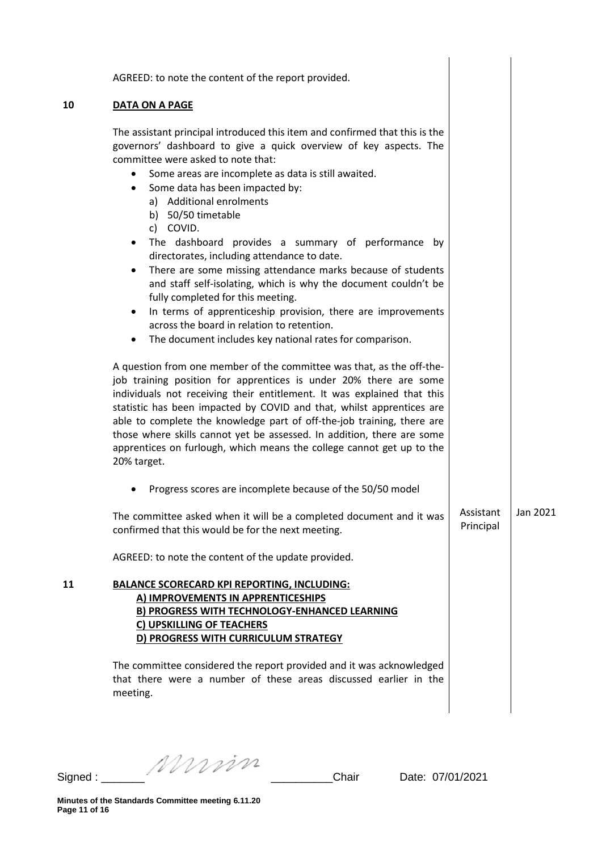| AGREED: to note the content of the report provided.<br><b>DATA ON A PAGE</b><br>The assistant principal introduced this item and confirmed that this is the<br>governors' dashboard to give a quick overview of key aspects. The<br>committee were asked to note that:<br>Some areas are incomplete as data is still awaited.<br>$\bullet$<br>Some data has been impacted by:<br>$\bullet$<br>a) Additional enrolments<br>b) 50/50 timetable<br>c) COVID.<br>The dashboard provides a summary of performance by<br>$\bullet$<br>directorates, including attendance to date.<br>There are some missing attendance marks because of students<br>$\bullet$<br>and staff self-isolating, which is why the document couldn't be<br>fully completed for this meeting.<br>In terms of apprenticeship provision, there are improvements<br>$\bullet$<br>across the board in relation to retention.<br>The document includes key national rates for comparison.<br>$\bullet$<br>A question from one member of the committee was that, as the off-the-<br>job training position for apprentices is under 20% there are some<br>individuals not receiving their entitlement. It was explained that this<br>statistic has been impacted by COVID and that, whilst apprentices are<br>able to complete the knowledge part of off-the-job training, there are<br>those where skills cannot yet be assessed. In addition, there are some<br>apprentices on furlough, which means the college cannot get up to the<br>20% target.<br>Progress scores are incomplete because of the 50/50 model<br>Assistant<br>The committee asked when it will be a completed document and it was<br>Principal<br>confirmed that this would be for the next meeting.<br>AGREED: to note the content of the update provided.<br><b>BALANCE SCORECARD KPI REPORTING, INCLUDING:</b><br>A) IMPROVEMENTS IN APPRENTICESHIPS<br>B) PROGRESS WITH TECHNOLOGY-ENHANCED LEARNING<br>C) UPSKILLING OF TEACHERS<br>D) PROGRESS WITH CURRICULUM STRATEGY<br>The committee considered the report provided and it was acknowledged<br>that there were a number of these areas discussed earlier in the<br>meeting. |  |          |
|------------------------------------------------------------------------------------------------------------------------------------------------------------------------------------------------------------------------------------------------------------------------------------------------------------------------------------------------------------------------------------------------------------------------------------------------------------------------------------------------------------------------------------------------------------------------------------------------------------------------------------------------------------------------------------------------------------------------------------------------------------------------------------------------------------------------------------------------------------------------------------------------------------------------------------------------------------------------------------------------------------------------------------------------------------------------------------------------------------------------------------------------------------------------------------------------------------------------------------------------------------------------------------------------------------------------------------------------------------------------------------------------------------------------------------------------------------------------------------------------------------------------------------------------------------------------------------------------------------------------------------------------------------------------------------------------------------------------------------------------------------------------------------------------------------------------------------------------------------------------------------------------------------------------------------------------------------------------------------------------------------------------------------------------------------------------------------------------------------------------------------------------------------------------|--|----------|
| 10                                                                                                                                                                                                                                                                                                                                                                                                                                                                                                                                                                                                                                                                                                                                                                                                                                                                                                                                                                                                                                                                                                                                                                                                                                                                                                                                                                                                                                                                                                                                                                                                                                                                                                                                                                                                                                                                                                                                                                                                                                                                                                                                                                     |  |          |
|                                                                                                                                                                                                                                                                                                                                                                                                                                                                                                                                                                                                                                                                                                                                                                                                                                                                                                                                                                                                                                                                                                                                                                                                                                                                                                                                                                                                                                                                                                                                                                                                                                                                                                                                                                                                                                                                                                                                                                                                                                                                                                                                                                        |  |          |
| 11                                                                                                                                                                                                                                                                                                                                                                                                                                                                                                                                                                                                                                                                                                                                                                                                                                                                                                                                                                                                                                                                                                                                                                                                                                                                                                                                                                                                                                                                                                                                                                                                                                                                                                                                                                                                                                                                                                                                                                                                                                                                                                                                                                     |  |          |
|                                                                                                                                                                                                                                                                                                                                                                                                                                                                                                                                                                                                                                                                                                                                                                                                                                                                                                                                                                                                                                                                                                                                                                                                                                                                                                                                                                                                                                                                                                                                                                                                                                                                                                                                                                                                                                                                                                                                                                                                                                                                                                                                                                        |  | Jan 2021 |
|                                                                                                                                                                                                                                                                                                                                                                                                                                                                                                                                                                                                                                                                                                                                                                                                                                                                                                                                                                                                                                                                                                                                                                                                                                                                                                                                                                                                                                                                                                                                                                                                                                                                                                                                                                                                                                                                                                                                                                                                                                                                                                                                                                        |  |          |
|                                                                                                                                                                                                                                                                                                                                                                                                                                                                                                                                                                                                                                                                                                                                                                                                                                                                                                                                                                                                                                                                                                                                                                                                                                                                                                                                                                                                                                                                                                                                                                                                                                                                                                                                                                                                                                                                                                                                                                                                                                                                                                                                                                        |  |          |
|                                                                                                                                                                                                                                                                                                                                                                                                                                                                                                                                                                                                                                                                                                                                                                                                                                                                                                                                                                                                                                                                                                                                                                                                                                                                                                                                                                                                                                                                                                                                                                                                                                                                                                                                                                                                                                                                                                                                                                                                                                                                                                                                                                        |  |          |

Signed : \_\_\_\_\_\_\_ \_\_\_\_\_\_\_\_\_\_Chair Date: 07/01/2021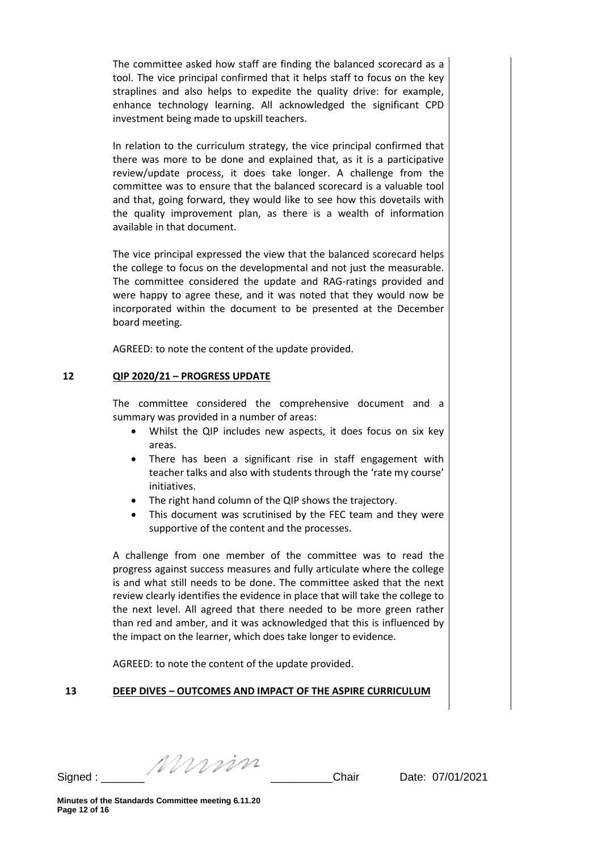The committee asked how staff are finding the balanced scorecard as a tool. The vice principal confirmed that it helps staff to focus on the key straplines and also helps to expedite the quality drive: for example, enhance technology learning. All acknowledged the significant CPD investment being made to upskill teachers.

In relation to the curriculum strategy, the vice principal confirmed that there was more to be done and explained that, as it is a participative review/update process, it does take longer. A challenge from the committee was to ensure that the balanced scorecard is a valuable tool and that, going forward, they would like to see how this dovetails with the quality improvement plan, as there is a wealth of information available in that document.

The vice principal expressed the view that the balanced scorecard helps the college to focus on the developmental and not just the measurable. The committee considered the update and RAG-ratings provided and were happy to agree these, and it was noted that they would now be incorporated within the document to be presented at the December board meeting.

AGREED: to note the content of the update provided.

### **12 QIP 2020/21 – PROGRESS UPDATE**

The committee considered the comprehensive document and a summary was provided in a number of areas:

- Whilst the QIP includes new aspects, it does focus on six key areas.
- There has been a significant rise in staff engagement with teacher talks and also with students through the 'rate my course' initiatives.
- The right hand column of the QIP shows the trajectory.
- This document was scrutinised by the FEC team and they were supportive of the content and the processes.

A challenge from one member of the committee was to read the progress against success measures and fully articulate where the college is and what still needs to be done. The committee asked that the next review clearly identifies the evidence in place that will take the college to the next level. All agreed that there needed to be more green rather than red and amber, and it was acknowledged that this is influenced by the impact on the learner, which does take longer to evidence.

AGREED: to note the content of the update provided.

## **13 DEEP DIVES – OUTCOMES AND IMPACT OF THE ASPIRE CURRICULUM**

Signed : \_\_\_\_\_\_\_ \_\_\_\_\_\_\_\_\_\_Chair Date: 07/01/2021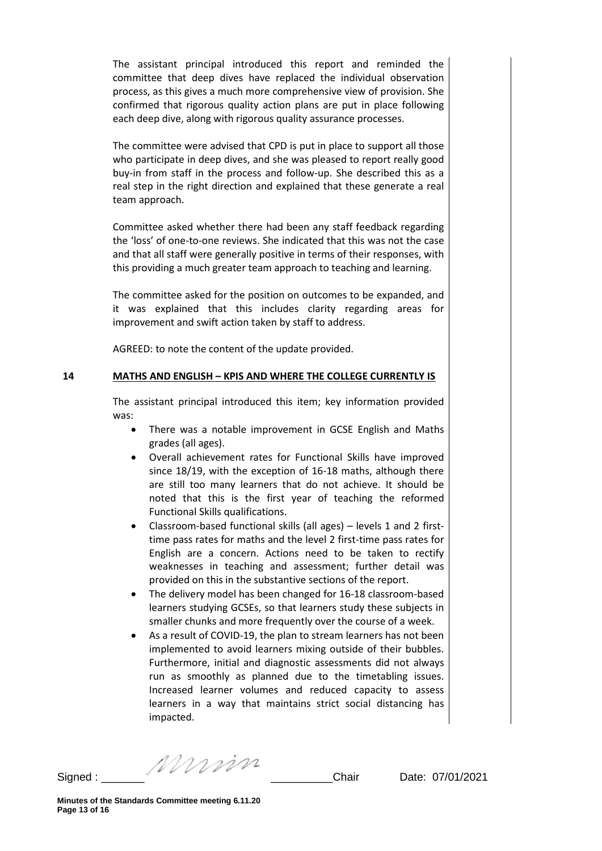The assistant principal introduced this report and reminded the committee that deep dives have replaced the individual observation process, as this gives a much more comprehensive view of provision. She confirmed that rigorous quality action plans are put in place following each deep dive, along with rigorous quality assurance processes.

The committee were advised that CPD is put in place to support all those who participate in deep dives, and she was pleased to report really good buy-in from staff in the process and follow-up. She described this as a real step in the right direction and explained that these generate a real team approach.

Committee asked whether there had been any staff feedback regarding the 'loss' of one-to-one reviews. She indicated that this was not the case and that all staff were generally positive in terms of their responses, with this providing a much greater team approach to teaching and learning.

The committee asked for the position on outcomes to be expanded, and it was explained that this includes clarity regarding areas for improvement and swift action taken by staff to address.

AGREED: to note the content of the update provided.

### **14 MATHS AND ENGLISH – KPIS AND WHERE THE COLLEGE CURRENTLY IS**

The assistant principal introduced this item; key information provided was:

- There was a notable improvement in GCSE English and Maths grades (all ages).
- Overall achievement rates for Functional Skills have improved since 18/19, with the exception of 16-18 maths, although there are still too many learners that do not achieve. It should be noted that this is the first year of teaching the reformed Functional Skills qualifications.
- Classroom-based functional skills (all ages) levels 1 and 2 firsttime pass rates for maths and the level 2 first-time pass rates for English are a concern. Actions need to be taken to rectify weaknesses in teaching and assessment; further detail was provided on this in the substantive sections of the report.
- The delivery model has been changed for 16-18 classroom-based learners studying GCSEs, so that learners study these subjects in smaller chunks and more frequently over the course of a week.
- As a result of COVID-19, the plan to stream learners has not been implemented to avoid learners mixing outside of their bubbles. Furthermore, initial and diagnostic assessments did not always run as smoothly as planned due to the timetabling issues. Increased learner volumes and reduced capacity to assess learners in a way that maintains strict social distancing has impacted.

Signed :  $\frac{1}{2}$  Signed :  $\frac{1}{2}$   $\frac{1}{2}$   $\frac{1}{2}$   $\frac{1}{2}$   $\frac{1}{2}$   $\frac{1}{2}$   $\frac{1}{2}$   $\frac{1}{2}$   $\frac{1}{2}$   $\frac{1}{2}$   $\frac{1}{2}$   $\frac{1}{2}$   $\frac{1}{2}$   $\frac{1}{2}$   $\frac{1}{2}$   $\frac{1}{2}$   $\frac{1}{2}$   $\frac{1}{2}$   $\frac{1}{2}$   $\frac$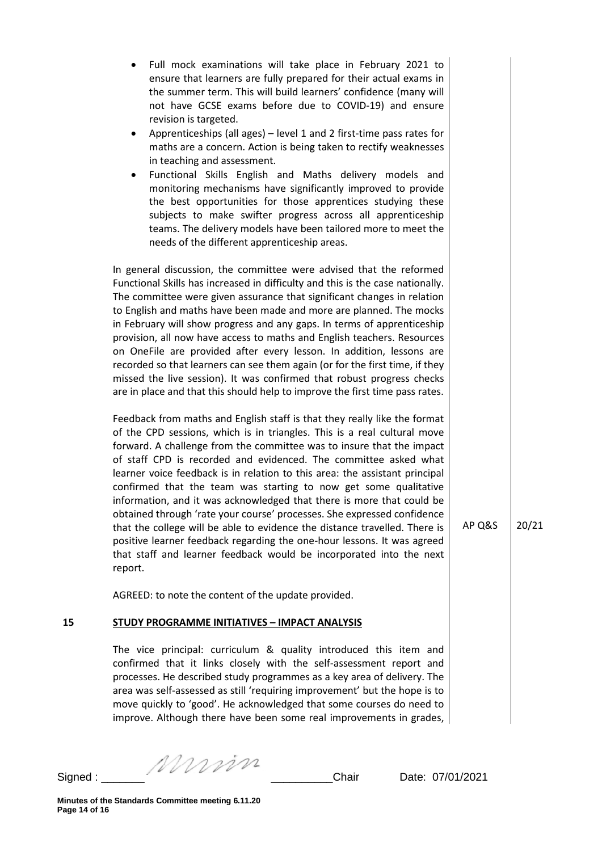- Full mock examinations will take place in February 2021 to ensure that learners are fully prepared for their actual exams in the summer term. This will build learners' confidence (many will not have GCSE exams before due to COVID-19) and ensure revision is targeted.
- Apprenticeships (all ages) level 1 and 2 first-time pass rates for maths are a concern. Action is being taken to rectify weaknesses in teaching and assessment.
- Functional Skills English and Maths delivery models and monitoring mechanisms have significantly improved to provide the best opportunities for those apprentices studying these subjects to make swifter progress across all apprenticeship teams. The delivery models have been tailored more to meet the needs of the different apprenticeship areas.

In general discussion, the committee were advised that the reformed Functional Skills has increased in difficulty and this is the case nationally. The committee were given assurance that significant changes in relation to English and maths have been made and more are planned. The mocks in February will show progress and any gaps. In terms of apprenticeship provision, all now have access to maths and English teachers. Resources on OneFile are provided after every lesson. In addition, lessons are recorded so that learners can see them again (or for the first time, if they missed the live session). It was confirmed that robust progress checks are in place and that this should help to improve the first time pass rates.

Feedback from maths and English staff is that they really like the format of the CPD sessions, which is in triangles. This is a real cultural move forward. A challenge from the committee was to insure that the impact of staff CPD is recorded and evidenced. The committee asked what learner voice feedback is in relation to this area: the assistant principal confirmed that the team was starting to now get some qualitative information, and it was acknowledged that there is more that could be obtained through 'rate your course' processes. She expressed confidence that the college will be able to evidence the distance travelled. There is positive learner feedback regarding the one-hour lessons. It was agreed that staff and learner feedback would be incorporated into the next report.

AGREED: to note the content of the update provided.

### **15 STUDY PROGRAMME INITIATIVES – IMPACT ANALYSIS**

The vice principal: curriculum & quality introduced this item and confirmed that it links closely with the self-assessment report and processes. He described study programmes as a key area of delivery. The area was self-assessed as still 'requiring improvement' but the hope is to move quickly to 'good'. He acknowledged that some courses do need to improve. Although there have been some real improvements in grades,  $AP$  Q&S  $20/21$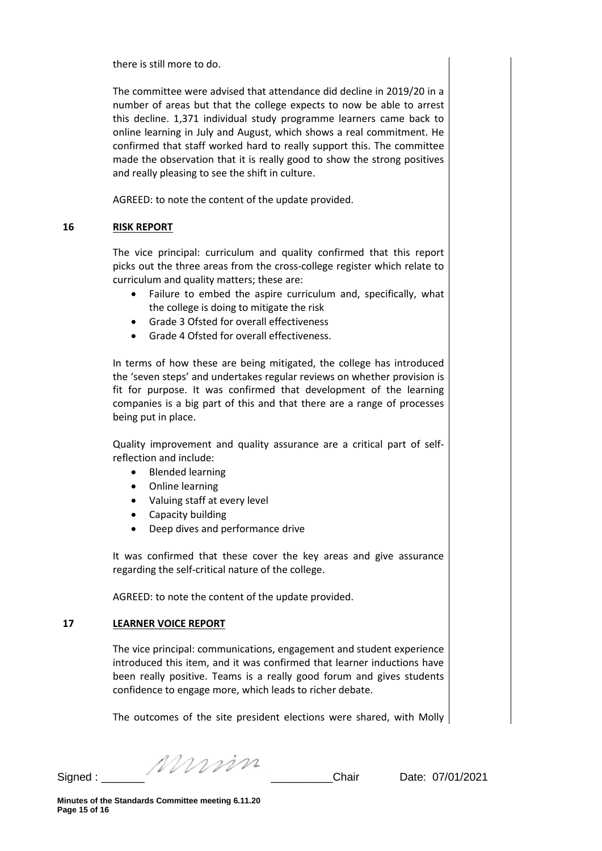there is still more to do.

The committee were advised that attendance did decline in 2019/20 in a number of areas but that the college expects to now be able to arrest this decline. 1,371 individual study programme learners came back to online learning in July and August, which shows a real commitment. He confirmed that staff worked hard to really support this. The committee made the observation that it is really good to show the strong positives and really pleasing to see the shift in culture.

AGREED: to note the content of the update provided.

### **16 RISK REPORT**

The vice principal: curriculum and quality confirmed that this report picks out the three areas from the cross-college register which relate to curriculum and quality matters; these are:

- Failure to embed the aspire curriculum and, specifically, what the college is doing to mitigate the risk
- Grade 3 Ofsted for overall effectiveness
- Grade 4 Ofsted for overall effectiveness.

In terms of how these are being mitigated, the college has introduced the 'seven steps' and undertakes regular reviews on whether provision is fit for purpose. It was confirmed that development of the learning companies is a big part of this and that there are a range of processes being put in place.

Quality improvement and quality assurance are a critical part of selfreflection and include:

- Blended learning
- Online learning
- Valuing staff at every level
- Capacity building
- Deep dives and performance drive

It was confirmed that these cover the key areas and give assurance regarding the self-critical nature of the college.

AGREED: to note the content of the update provided.

### **17 LEARNER VOICE REPORT**

The vice principal: communications, engagement and student experience introduced this item, and it was confirmed that learner inductions have been really positive. Teams is a really good forum and gives students confidence to engage more, which leads to richer debate.

The outcomes of the site president elections were shared, with Molly

Signed : \_\_\_\_\_\_\_ \_\_\_\_\_\_\_\_\_\_Chair Date: 07/01/2021